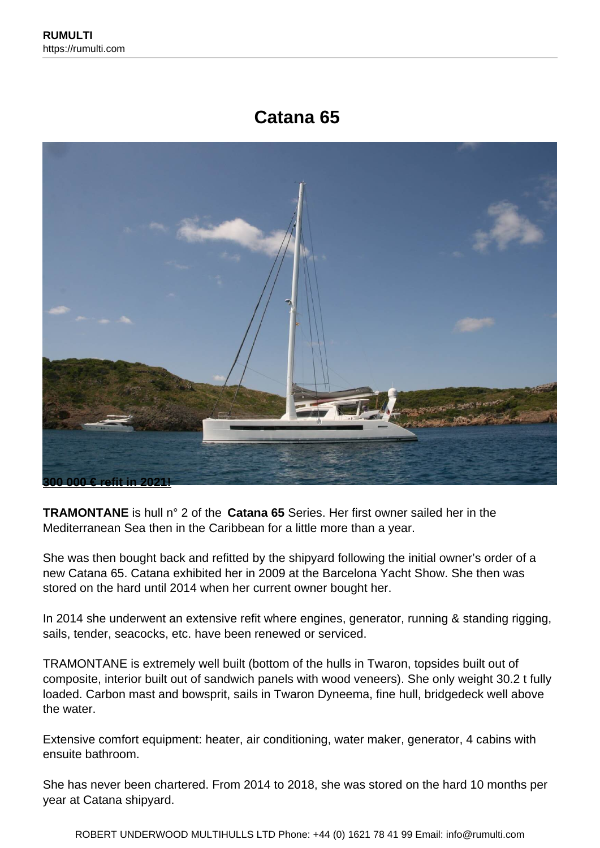# **Catana 65**



**TRAMONTANE** is hull n° 2 of the **Catana 65** Series. Her first owner sailed her in the Mediterranean Sea then in the Caribbean for a little more than a year.

She was then bought back and refitted by the shipyard following the initial owner's order of a new Catana 65. Catana exhibited her in 2009 at the Barcelona Yacht Show. She then was stored on the hard until 2014 when her current owner bought her.

In 2014 she underwent an extensive refit where engines, generator, running & standing rigging, sails, tender, seacocks, etc. have been renewed or serviced.

TRAMONTANE is extremely well built (bottom of the hulls in Twaron, topsides built out of composite, interior built out of sandwich panels with wood veneers). She only weight 30.2 t fully loaded. Carbon mast and bowsprit, sails in Twaron Dyneema, fine hull, bridgedeck well above the water.

Extensive comfort equipment: heater, air conditioning, water maker, generator, 4 cabins with ensuite bathroom.

She has never been chartered. From 2014 to 2018, she was stored on the hard 10 months per year at Catana shipyard.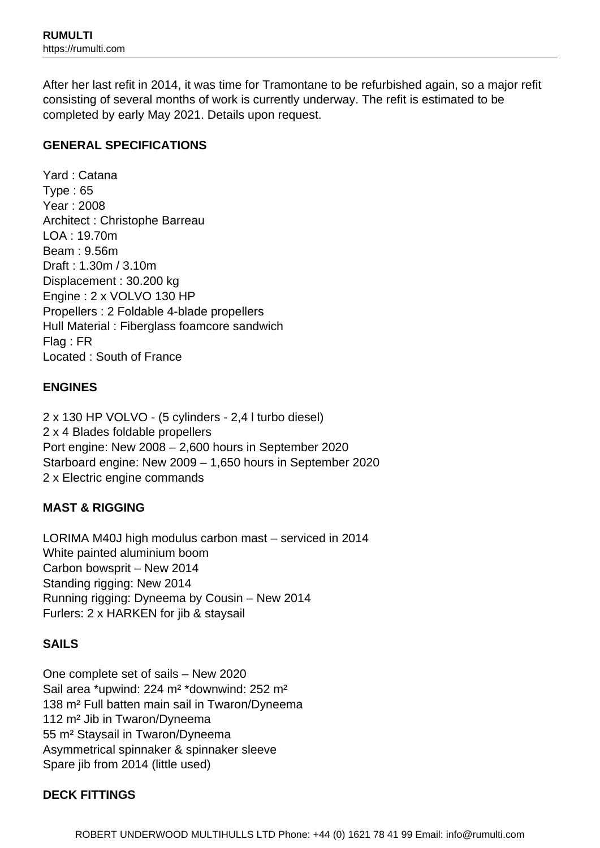After her last refit in 2014, it was time for Tramontane to be refurbished again, so a major refit consisting of several months of work is currently underway. The refit is estimated to be completed by early May 2021. Details upon request.

### **GENERAL SPECIFICATIONS**

Yard : Catana Type : 65 Year : 2008 Architect : Christophe Barreau LOA : 19.70m Beam : 9.56m Draft : 1.30m / 3.10m Displacement : 30.200 kg Engine : 2 x VOLVO 130 HP Propellers : 2 Foldable 4-blade propellers Hull Material : Fiberglass foamcore sandwich Flag : FR Located : South of France

### **ENGINES**

2 x 130 HP VOLVO - (5 cylinders - 2,4 l turbo diesel) 2 x 4 Blades foldable propellers Port engine: New 2008 – 2,600 hours in September 2020 Starboard engine: New 2009 – 1,650 hours in September 2020 2 x Electric engine commands

## **MAST & RIGGING**

LORIMA M40J high modulus carbon mast – serviced in 2014 White painted aluminium boom Carbon bowsprit – New 2014 Standing rigging: New 2014 Running rigging: Dyneema by Cousin – New 2014 Furlers: 2 x HARKEN for jib & staysail

## **SAILS**

One complete set of sails – New 2020 Sail area \*upwind: 224 m² \*downwind: 252 m² 138 m² Full batten main sail in Twaron/Dyneema 112 m² Jib in Twaron/Dyneema 55 m² Staysail in Twaron/Dyneema Asymmetrical spinnaker & spinnaker sleeve Spare jib from 2014 (little used)

#### **DECK FITTINGS**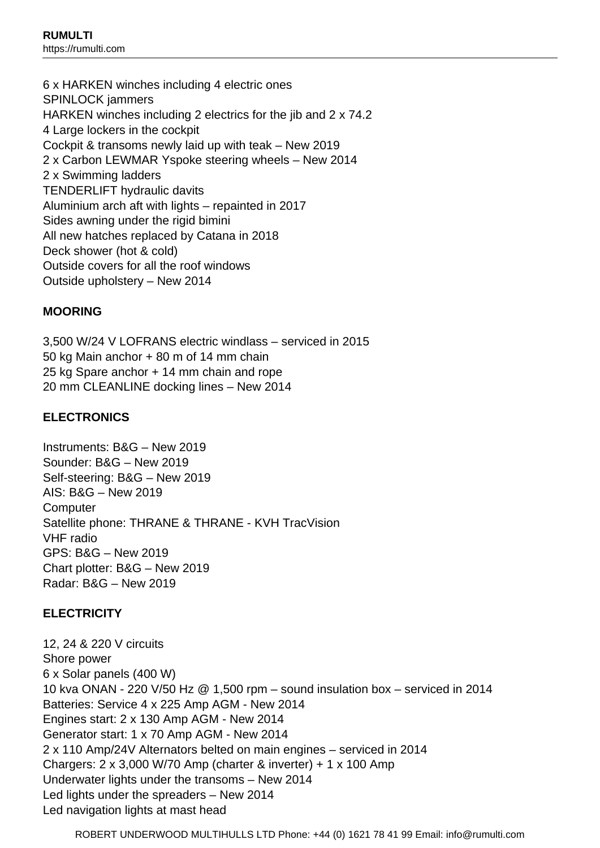6 x HARKEN winches including 4 electric ones SPINLOCK jammers HARKEN winches including 2 electrics for the jib and 2 x 74.2 4 Large lockers in the cockpit Cockpit & transoms newly laid up with teak – New 2019 2 x Carbon LEWMAR Yspoke steering wheels – New 2014 2 x Swimming ladders TENDERLIFT hydraulic davits Aluminium arch aft with lights – repainted in 2017 Sides awning under the rigid bimini All new hatches replaced by Catana in 2018 Deck shower (hot & cold) Outside covers for all the roof windows Outside upholstery – New 2014

#### **MOORING**

3,500 W/24 V LOFRANS electric windlass – serviced in 2015 50 kg Main anchor + 80 m of 14 mm chain 25 kg Spare anchor + 14 mm chain and rope 20 mm CLEANLINE docking lines – New 2014

#### **ELECTRONICS**

Instruments: B&G – New 2019 Sounder: B&G – New 2019 Self-steering: B&G – New 2019 AIS: B&G – New 2019 **Computer** Satellite phone: THRANE & THRANE - KVH TracVision VHF radio GPS: B&G – New 2019 Chart plotter: B&G – New 2019 Radar: B&G – New 2019

#### **ELECTRICITY**

12, 24 & 220 V circuits Shore power 6 x Solar panels (400 W) 10 kva ONAN - 220 V/50 Hz @ 1,500 rpm – sound insulation box – serviced in 2014 Batteries: Service 4 x 225 Amp AGM - New 2014 Engines start: 2 x 130 Amp AGM - New 2014 Generator start: 1 x 70 Amp AGM - New 2014 2 x 110 Amp/24V Alternators belted on main engines – serviced in 2014 Chargers: 2 x 3,000 W/70 Amp (charter & inverter) + 1 x 100 Amp Underwater lights under the transoms – New 2014 Led lights under the spreaders – New 2014 Led navigation lights at mast head